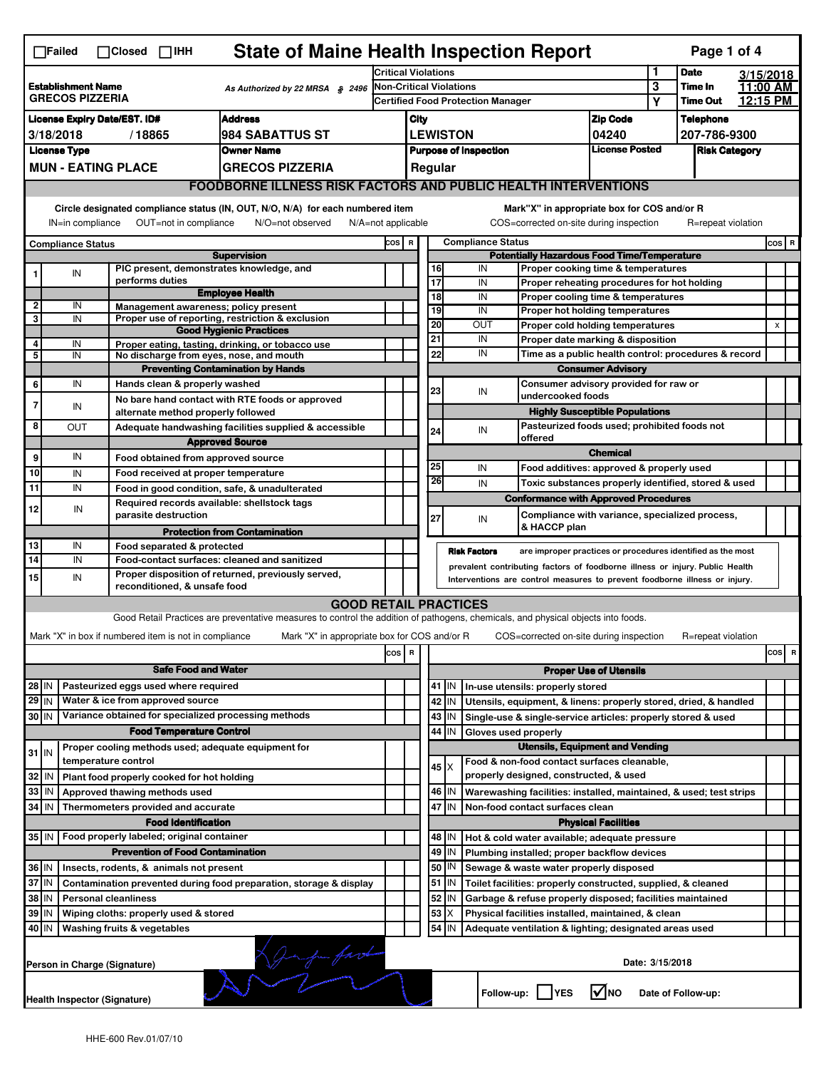| <b>State of Maine Health Inspection Report</b><br>Page 1 of 4<br>$\Box$ Failed<br>$\Box$ Closed $\Box$ IHH           |                                                                                                                                                                                                                                                                                           |                                                                                                                                                                                    |                                                       |                                                                                                                                   |                                                                     |                                                                 |                                                                              |                 |                                                                                    |                                       |                 |                        |                       |                |   |
|----------------------------------------------------------------------------------------------------------------------|-------------------------------------------------------------------------------------------------------------------------------------------------------------------------------------------------------------------------------------------------------------------------------------------|------------------------------------------------------------------------------------------------------------------------------------------------------------------------------------|-------------------------------------------------------|-----------------------------------------------------------------------------------------------------------------------------------|---------------------------------------------------------------------|-----------------------------------------------------------------|------------------------------------------------------------------------------|-----------------|------------------------------------------------------------------------------------|---------------------------------------|-----------------|------------------------|-----------------------|----------------|---|
|                                                                                                                      |                                                                                                                                                                                                                                                                                           |                                                                                                                                                                                    |                                                       |                                                                                                                                   | <b>Critical Violations</b>                                          |                                                                 |                                                                              |                 |                                                                                    |                                       | 1               | <b>Date</b><br>Time In | 3/15/2018<br>11:00 AM |                |   |
| <b>Establishment Name</b><br>As Authorized by 22 MRSA § 2496<br><b>GRECOS PIZZERIA</b>                               |                                                                                                                                                                                                                                                                                           |                                                                                                                                                                                    |                                                       |                                                                                                                                   | Non-Critical Violations<br><b>Certified Food Protection Manager</b> |                                                                 |                                                                              |                 |                                                                                    | 3<br>Υ                                | <b>Time Out</b> | 12:15 PM               |                       |                |   |
|                                                                                                                      | <b>Address</b><br><b>License Expiry Date/EST. ID#</b>                                                                                                                                                                                                                                     |                                                                                                                                                                                    |                                                       |                                                                                                                                   |                                                                     |                                                                 | <b>Zip Code</b><br>City                                                      |                 |                                                                                    |                                       |                 | <b>Telephone</b>       |                       |                |   |
| 3/18/2018<br>/18865<br>984 SABATTUS ST                                                                               |                                                                                                                                                                                                                                                                                           |                                                                                                                                                                                    |                                                       |                                                                                                                                   |                                                                     |                                                                 |                                                                              | <b>LEWISTON</b> |                                                                                    | 04240                                 |                 | 207-786-9300           |                       |                |   |
|                                                                                                                      | <b>License Type</b>                                                                                                                                                                                                                                                                       |                                                                                                                                                                                    |                                                       | <b>Owner Name</b>                                                                                                                 |                                                                     |                                                                 |                                                                              |                 |                                                                                    | <b>License Posted</b>                 |                 |                        |                       |                |   |
|                                                                                                                      |                                                                                                                                                                                                                                                                                           |                                                                                                                                                                                    | <b>MUN - EATING PLACE</b>                             | <b>GRECOS PIZZERIA</b>                                                                                                            |                                                                     | <b>Purpose of Inspection</b><br><b>Risk Category</b><br>Regular |                                                                              |                 |                                                                                    |                                       |                 |                        |                       |                |   |
|                                                                                                                      |                                                                                                                                                                                                                                                                                           |                                                                                                                                                                                    |                                                       | <b>FOODBORNE ILLNESS RISK FACTORS AND PUBLIC HEALTH INTERVENTIONS</b>                                                             |                                                                     |                                                                 |                                                                              |                 |                                                                                    |                                       |                 |                        |                       |                |   |
|                                                                                                                      |                                                                                                                                                                                                                                                                                           |                                                                                                                                                                                    |                                                       |                                                                                                                                   |                                                                     |                                                                 |                                                                              |                 |                                                                                    |                                       |                 |                        |                       |                |   |
|                                                                                                                      | Circle designated compliance status (IN, OUT, N/O, N/A) for each numbered item<br>Mark"X" in appropriate box for COS and/or R<br>IN=in compliance<br>OUT=not in compliance<br>N/O=not observed<br>COS=corrected on-site during inspection<br>R=repeat violation<br>$N/A = not$ applicable |                                                                                                                                                                                    |                                                       |                                                                                                                                   |                                                                     |                                                                 |                                                                              |                 |                                                                                    |                                       |                 |                        |                       |                |   |
|                                                                                                                      | <b>Compliance Status</b><br>COS R<br><b>Compliance Status</b>                                                                                                                                                                                                                             |                                                                                                                                                                                    |                                                       |                                                                                                                                   |                                                                     |                                                                 |                                                                              | cos   R         |                                                                                    |                                       |                 |                        |                       |                |   |
| <b>Supervision</b>                                                                                                   |                                                                                                                                                                                                                                                                                           |                                                                                                                                                                                    |                                                       |                                                                                                                                   |                                                                     |                                                                 | <b>Potentially Hazardous Food Time/Temperature</b>                           |                 |                                                                                    |                                       |                 |                        |                       |                |   |
|                                                                                                                      | IN                                                                                                                                                                                                                                                                                        |                                                                                                                                                                                    | PIC present, demonstrates knowledge, and              |                                                                                                                                   |                                                                     |                                                                 | 16                                                                           |                 | IN<br>Proper cooking time & temperatures                                           |                                       |                 |                        |                       |                |   |
|                                                                                                                      |                                                                                                                                                                                                                                                                                           |                                                                                                                                                                                    | performs duties                                       | <b>Employee Health</b>                                                                                                            |                                                                     |                                                                 | $\overline{17}$<br>18                                                        |                 | IN<br>Proper reheating procedures for hot holding                                  |                                       |                 |                        |                       |                |   |
| $\mathbf{2}$                                                                                                         | IN                                                                                                                                                                                                                                                                                        |                                                                                                                                                                                    | Management awareness; policy present                  |                                                                                                                                   |                                                                     |                                                                 | 19                                                                           |                 | IN<br>Proper cooling time & temperatures<br>IN<br>Proper hot holding temperatures  |                                       |                 |                        |                       |                |   |
| 3                                                                                                                    | IN                                                                                                                                                                                                                                                                                        |                                                                                                                                                                                    |                                                       | Proper use of reporting, restriction & exclusion                                                                                  |                                                                     |                                                                 | 20                                                                           |                 | <b>OUT</b><br>Proper cold holding temperatures                                     |                                       |                 |                        |                       | $\pmb{\times}$ |   |
|                                                                                                                      |                                                                                                                                                                                                                                                                                           |                                                                                                                                                                                    |                                                       | <b>Good Hygienic Practices</b>                                                                                                    |                                                                     |                                                                 | 21                                                                           |                 | IN<br>Proper date marking & disposition                                            |                                       |                 |                        |                       |                |   |
| 4<br>5                                                                                                               | IN<br>IN                                                                                                                                                                                                                                                                                  |                                                                                                                                                                                    | No discharge from eyes, nose, and mouth               | Proper eating, tasting, drinking, or tobacco use                                                                                  |                                                                     |                                                                 | 22                                                                           |                 | IN<br>Time as a public health control: procedures & record                         |                                       |                 |                        |                       |                |   |
|                                                                                                                      |                                                                                                                                                                                                                                                                                           |                                                                                                                                                                                    |                                                       | <b>Preventing Contamination by Hands</b>                                                                                          |                                                                     |                                                                 |                                                                              |                 |                                                                                    | <b>Consumer Advisory</b>              |                 |                        |                       |                |   |
| 6                                                                                                                    | IN                                                                                                                                                                                                                                                                                        |                                                                                                                                                                                    | Hands clean & properly washed                         |                                                                                                                                   |                                                                     |                                                                 |                                                                              |                 | Consumer advisory provided for raw or                                              |                                       |                 |                        |                       |                |   |
|                                                                                                                      |                                                                                                                                                                                                                                                                                           |                                                                                                                                                                                    |                                                       | No bare hand contact with RTE foods or approved                                                                                   |                                                                     |                                                                 | 23                                                                           |                 | IN<br>undercooked foods                                                            |                                       |                 |                        |                       |                |   |
| 7                                                                                                                    | IN                                                                                                                                                                                                                                                                                        |                                                                                                                                                                                    | alternate method properly followed                    |                                                                                                                                   |                                                                     |                                                                 |                                                                              |                 |                                                                                    | <b>Highly Susceptible Populations</b> |                 |                        |                       |                |   |
| 8                                                                                                                    | OUT                                                                                                                                                                                                                                                                                       |                                                                                                                                                                                    |                                                       | Adequate handwashing facilities supplied & accessible                                                                             |                                                                     |                                                                 | 24                                                                           |                 | Pasteurized foods used; prohibited foods not<br>IN                                 |                                       |                 |                        |                       |                |   |
|                                                                                                                      |                                                                                                                                                                                                                                                                                           |                                                                                                                                                                                    |                                                       | <b>Approved Source</b>                                                                                                            |                                                                     |                                                                 |                                                                              |                 | offered                                                                            |                                       |                 |                        |                       |                |   |
| 9                                                                                                                    | IN                                                                                                                                                                                                                                                                                        |                                                                                                                                                                                    | Food obtained from approved source                    |                                                                                                                                   |                                                                     |                                                                 |                                                                              |                 |                                                                                    | <b>Chemical</b>                       |                 |                        |                       |                |   |
| 10                                                                                                                   | IN                                                                                                                                                                                                                                                                                        |                                                                                                                                                                                    | Food received at proper temperature                   |                                                                                                                                   |                                                                     |                                                                 | 25<br>26                                                                     |                 | IN<br>Food additives: approved & properly used                                     |                                       |                 |                        |                       |                |   |
| 11                                                                                                                   | IN                                                                                                                                                                                                                                                                                        |                                                                                                                                                                                    |                                                       | Food in good condition, safe, & unadulterated                                                                                     |                                                                     |                                                                 |                                                                              |                 | IN<br>Toxic substances properly identified, stored & used                          |                                       |                 |                        |                       |                |   |
| 12                                                                                                                   | IN                                                                                                                                                                                                                                                                                        |                                                                                                                                                                                    | Required records available: shellstock tags           |                                                                                                                                   |                                                                     |                                                                 |                                                                              |                 | <b>Conformance with Approved Procedures</b>                                        |                                       |                 |                        |                       |                |   |
|                                                                                                                      |                                                                                                                                                                                                                                                                                           |                                                                                                                                                                                    | parasite destruction                                  |                                                                                                                                   |                                                                     |                                                                 | 27                                                                           |                 | Compliance with variance, specialized process,<br>IN<br>& HACCP plan               |                                       |                 |                        |                       |                |   |
|                                                                                                                      |                                                                                                                                                                                                                                                                                           |                                                                                                                                                                                    |                                                       | <b>Protection from Contamination</b>                                                                                              |                                                                     |                                                                 |                                                                              |                 |                                                                                    |                                       |                 |                        |                       |                |   |
| 13<br>14                                                                                                             | IN<br>IN                                                                                                                                                                                                                                                                                  |                                                                                                                                                                                    | Food separated & protected                            |                                                                                                                                   |                                                                     |                                                                 |                                                                              |                 | <b>Risk Factors</b><br>are improper practices or procedures identified as the most |                                       |                 |                        |                       |                |   |
|                                                                                                                      |                                                                                                                                                                                                                                                                                           | Food-contact surfaces: cleaned and sanitized<br>prevalent contributing factors of foodborne illness or injury. Public Health<br>Proper disposition of returned, previously served, |                                                       |                                                                                                                                   |                                                                     |                                                                 |                                                                              |                 |                                                                                    |                                       |                 |                        |                       |                |   |
|                                                                                                                      | 15<br>IN<br>Interventions are control measures to prevent foodborne illness or injury.<br>reconditioned, & unsafe food                                                                                                                                                                    |                                                                                                                                                                                    |                                                       |                                                                                                                                   |                                                                     |                                                                 |                                                                              |                 |                                                                                    |                                       |                 |                        |                       |                |   |
|                                                                                                                      |                                                                                                                                                                                                                                                                                           |                                                                                                                                                                                    |                                                       | <b>GOOD RETAIL PRACTICES</b>                                                                                                      |                                                                     |                                                                 |                                                                              |                 |                                                                                    |                                       |                 |                        |                       |                |   |
|                                                                                                                      |                                                                                                                                                                                                                                                                                           |                                                                                                                                                                                    |                                                       | Good Retail Practices are preventative measures to control the addition of pathogens, chemicals, and physical objects into foods. |                                                                     |                                                                 |                                                                              |                 |                                                                                    |                                       |                 |                        |                       |                |   |
|                                                                                                                      |                                                                                                                                                                                                                                                                                           |                                                                                                                                                                                    | Mark "X" in box if numbered item is not in compliance | Mark "X" in appropriate box for COS and/or R                                                                                      |                                                                     |                                                                 |                                                                              |                 | COS=corrected on-site during inspection                                            |                                       |                 | R=repeat violation     |                       |                |   |
|                                                                                                                      |                                                                                                                                                                                                                                                                                           |                                                                                                                                                                                    |                                                       |                                                                                                                                   | cos                                                                 | R                                                               |                                                                              |                 |                                                                                    |                                       |                 |                        |                       | cos            | R |
|                                                                                                                      |                                                                                                                                                                                                                                                                                           |                                                                                                                                                                                    | <b>Safe Food and Water</b>                            |                                                                                                                                   |                                                                     |                                                                 |                                                                              |                 |                                                                                    |                                       |                 |                        |                       |                |   |
| Pasteurized eggs used where required<br>28 IN                                                                        |                                                                                                                                                                                                                                                                                           |                                                                                                                                                                                    |                                                       |                                                                                                                                   |                                                                     |                                                                 | <b>Proper Use of Utensils</b><br>41   IN<br>In-use utensils: properly stored |                 |                                                                                    |                                       |                 |                        |                       |                |   |
| $29$ IN                                                                                                              |                                                                                                                                                                                                                                                                                           |                                                                                                                                                                                    | Water & ice from approved source                      |                                                                                                                                   |                                                                     |                                                                 |                                                                              | 42 IN           | Utensils, equipment, & linens: properly stored, dried, & handled                   |                                       |                 |                        |                       |                |   |
| 30 IN                                                                                                                |                                                                                                                                                                                                                                                                                           |                                                                                                                                                                                    | Variance obtained for specialized processing methods  |                                                                                                                                   |                                                                     |                                                                 |                                                                              | 43   IN         | Single-use & single-service articles: properly stored & used                       |                                       |                 |                        |                       |                |   |
|                                                                                                                      |                                                                                                                                                                                                                                                                                           |                                                                                                                                                                                    | <b>Food Temperature Control</b>                       |                                                                                                                                   |                                                                     |                                                                 | 44                                                                           | IN              | Gloves used properly                                                               |                                       |                 |                        |                       |                |   |
|                                                                                                                      |                                                                                                                                                                                                                                                                                           |                                                                                                                                                                                    | Proper cooling methods used; adequate equipment for   |                                                                                                                                   |                                                                     |                                                                 |                                                                              |                 | <b>Utensils, Equipment and Vending</b>                                             |                                       |                 |                        |                       |                |   |
| $31$ IN                                                                                                              |                                                                                                                                                                                                                                                                                           |                                                                                                                                                                                    | temperature control                                   |                                                                                                                                   |                                                                     |                                                                 |                                                                              |                 | Food & non-food contact surfaces cleanable,                                        |                                       |                 |                        |                       |                |   |
| 32                                                                                                                   | IN                                                                                                                                                                                                                                                                                        |                                                                                                                                                                                    | Plant food properly cooked for hot holding            |                                                                                                                                   |                                                                     |                                                                 |                                                                              | $45 \times$     | properly designed, constructed, & used                                             |                                       |                 |                        |                       |                |   |
| 33                                                                                                                   | IN                                                                                                                                                                                                                                                                                        |                                                                                                                                                                                    | Approved thawing methods used                         |                                                                                                                                   |                                                                     |                                                                 |                                                                              | 46   IN         | Warewashing facilities: installed, maintained, & used; test strips                 |                                       |                 |                        |                       |                |   |
| 34 IN                                                                                                                |                                                                                                                                                                                                                                                                                           |                                                                                                                                                                                    | Thermometers provided and accurate                    |                                                                                                                                   |                                                                     |                                                                 |                                                                              | 47 IN           | Non-food contact surfaces clean                                                    |                                       |                 |                        |                       |                |   |
|                                                                                                                      |                                                                                                                                                                                                                                                                                           |                                                                                                                                                                                    | <b>Food Identification</b>                            |                                                                                                                                   |                                                                     |                                                                 | <b>Physical Facilities</b>                                                   |                 |                                                                                    |                                       |                 |                        |                       |                |   |
| 35 IN                                                                                                                |                                                                                                                                                                                                                                                                                           |                                                                                                                                                                                    | Food properly labeled; original container             |                                                                                                                                   |                                                                     | 48   IN<br>Hot & cold water available; adequate pressure        |                                                                              |                 |                                                                                    |                                       |                 |                        |                       |                |   |
|                                                                                                                      |                                                                                                                                                                                                                                                                                           |                                                                                                                                                                                    | <b>Prevention of Food Contamination</b>               |                                                                                                                                   |                                                                     |                                                                 | 49                                                                           | IN              | Plumbing installed; proper backflow devices                                        |                                       |                 |                        |                       |                |   |
| 36 IN                                                                                                                |                                                                                                                                                                                                                                                                                           |                                                                                                                                                                                    | Insects, rodents, & animals not present               |                                                                                                                                   |                                                                     |                                                                 |                                                                              | 50   IN         | Sewage & waste water properly disposed                                             |                                       |                 |                        |                       |                |   |
|                                                                                                                      | 37 IN<br>51 IN<br>Contamination prevented during food preparation, storage & display<br>Toilet facilities: properly constructed, supplied, & cleaned                                                                                                                                      |                                                                                                                                                                                    |                                                       |                                                                                                                                   |                                                                     |                                                                 |                                                                              |                 |                                                                                    |                                       |                 |                        |                       |                |   |
| 38 IN<br>52<br><b>Personal cleanliness</b><br>IN<br>Garbage & refuse properly disposed; facilities maintained        |                                                                                                                                                                                                                                                                                           |                                                                                                                                                                                    |                                                       |                                                                                                                                   |                                                                     |                                                                 |                                                                              |                 |                                                                                    |                                       |                 |                        |                       |                |   |
| 53<br>39<br>X<br>  IN<br>Wiping cloths: properly used & stored<br>Physical facilities installed, maintained, & clean |                                                                                                                                                                                                                                                                                           |                                                                                                                                                                                    |                                                       |                                                                                                                                   |                                                                     |                                                                 |                                                                              |                 |                                                                                    |                                       |                 |                        |                       |                |   |
| 40   IN                                                                                                              |                                                                                                                                                                                                                                                                                           |                                                                                                                                                                                    | Washing fruits & vegetables                           |                                                                                                                                   |                                                                     |                                                                 | 54                                                                           | ΙN              | Adequate ventilation & lighting; designated areas used                             |                                       |                 |                        |                       |                |   |
|                                                                                                                      |                                                                                                                                                                                                                                                                                           |                                                                                                                                                                                    | Person in Charge (Signature)                          | munition factor                                                                                                                   |                                                                     |                                                                 |                                                                              |                 |                                                                                    | Date: 3/15/2018                       |                 |                        |                       |                |   |
|                                                                                                                      | Health Inspector (Signature)                                                                                                                                                                                                                                                              |                                                                                                                                                                                    |                                                       |                                                                                                                                   |                                                                     |                                                                 |                                                                              |                 | Follow-up:     YES                                                                 | $\sqrt{\ }$ NO                        |                 | Date of Follow-up:     |                       |                |   |
|                                                                                                                      |                                                                                                                                                                                                                                                                                           |                                                                                                                                                                                    |                                                       |                                                                                                                                   |                                                                     |                                                                 |                                                                              |                 |                                                                                    |                                       |                 |                        |                       |                |   |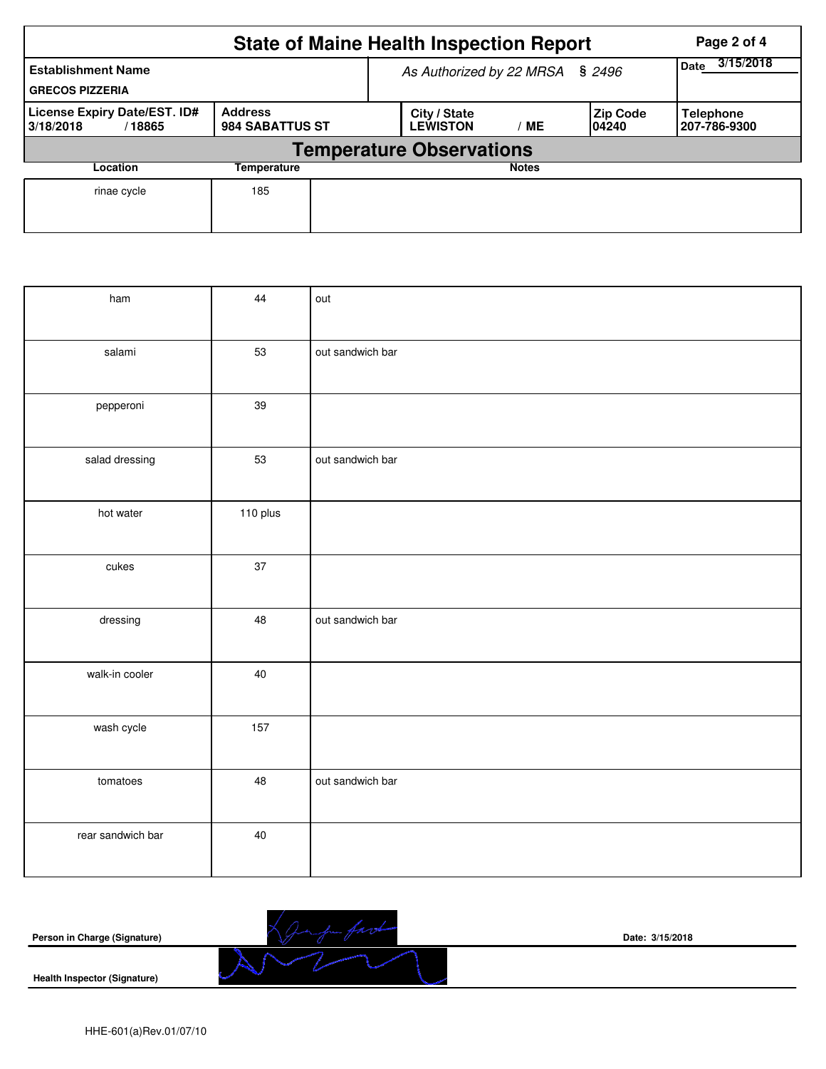|                                                     | <b>State of Maine Health Inspection Report</b> |                                 | Page 2 of 4                           |                          |                    |                                  |
|-----------------------------------------------------|------------------------------------------------|---------------------------------|---------------------------------------|--------------------------|--------------------|----------------------------------|
| <b>Establishment Name</b><br><b>GRECOS PIZZERIA</b> |                                                |                                 | As Authorized by 22 MRSA § 2496       | 3/15/2018<br><b>Date</b> |                    |                                  |
| License Expiry Date/EST. ID#<br>3/18/2018<br>/18865 | <b>Address</b><br>984 SABATTUS ST              |                                 | City / State<br><b>LEWISTON</b><br>MЕ |                          | Zip Code<br>104240 | <b>Telephone</b><br>207-786-9300 |
|                                                     |                                                | <b>Temperature Observations</b> |                                       |                          |                    |                                  |
| Location                                            | Temperature                                    |                                 |                                       | <b>Notes</b>             |                    |                                  |
| rinae cycle                                         | 185                                            |                                 |                                       |                          |                    |                                  |

| ham               | 44       | out              |
|-------------------|----------|------------------|
| salami            | 53       | out sandwich bar |
| pepperoni         | 39       |                  |
| salad dressing    | 53       | out sandwich bar |
| hot water         | 110 plus |                  |
| cukes             | 37       |                  |
| dressing          | 48       | out sandwich bar |
| walk-in cooler    | 40       |                  |
| wash cycle        | 157      |                  |
| tomatoes          | 48       | out sandwich bar |
| rear sandwich bar | 40       |                  |

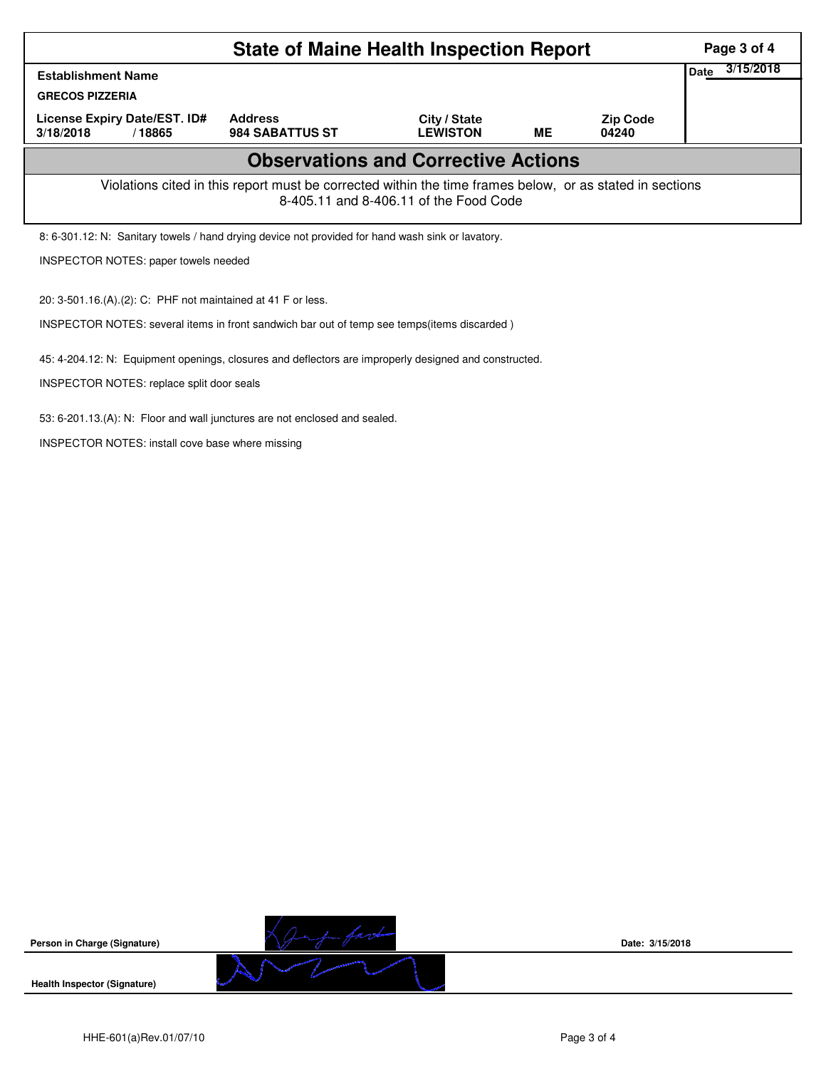|                                                                                                                                                              | Page 3 of 4       |  |  |  |  |  |  |  |  |  |
|--------------------------------------------------------------------------------------------------------------------------------------------------------------|-------------------|--|--|--|--|--|--|--|--|--|
| <b>Establishment Name</b><br><b>GRECOS PIZZERIA</b>                                                                                                          | 3/15/2018<br>Date |  |  |  |  |  |  |  |  |  |
| License Expiry Date/EST. ID#<br>3/18/2018<br>/18865                                                                                                          |                   |  |  |  |  |  |  |  |  |  |
| <b>Observations and Corrective Actions</b>                                                                                                                   |                   |  |  |  |  |  |  |  |  |  |
| Violations cited in this report must be corrected within the time frames below, or as stated in sections<br>8-405.11 and 8-406.11 of the Food Code           |                   |  |  |  |  |  |  |  |  |  |
| 8: 6-301.12: N: Sanitary towels / hand drying device not provided for hand wash sink or lavatory.                                                            |                   |  |  |  |  |  |  |  |  |  |
| INSPECTOR NOTES: paper towels needed                                                                                                                         |                   |  |  |  |  |  |  |  |  |  |
| 20: 3-501.16.(A).(2): C: PHF not maintained at 41 F or less.<br>INSPECTOR NOTES: several items in front sandwich bar out of temp see temps (items discarded) |                   |  |  |  |  |  |  |  |  |  |

45: 4-204.12: N: Equipment openings, closures and deflectors are improperly designed and constructed.

INSPECTOR NOTES: replace split door seals

53: 6-201.13.(A): N: Floor and wall junctures are not enclosed and sealed.

INSPECTOR NOTES: install cove base where missing



**Date: 3/15/2018**

**Health Inspector (Signature)**